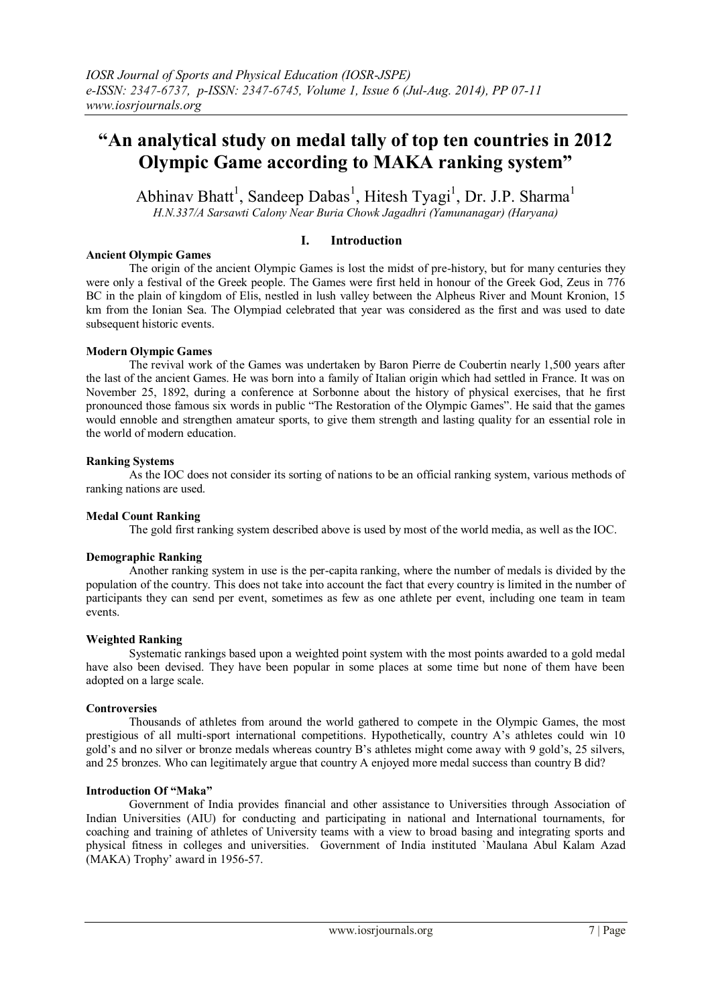# **"An analytical study on medal tally of top ten countries in 2012 Olympic Game according to MAKA ranking system"**

Abhinav Bhatt<sup>1</sup>, Sandeep Dabas<sup>1</sup>, Hitesh Tyagi<sup>1</sup>, Dr. J.P. Sharma<sup>1</sup> *H.N.337/A Sarsawti Calony Near Buria Chowk Jagadhri (Yamunanagar) (Haryana)*

## **I. Introduction**

#### **Ancient Olympic Games**

The origin of the ancient Olympic Games is lost the midst of pre-history, but for many centuries they were only a festival of the Greek people. The Games were first held in honour of the Greek God, Zeus in 776 BC in the plain of kingdom of Elis, nestled in lush valley between the Alpheus River and Mount Kronion, 15 km from the Ionian Sea. The Olympiad celebrated that year was considered as the first and was used to date subsequent historic events.

## **Modern Olympic Games**

The revival work of the Games was undertaken by Baron Pierre de Coubertin nearly 1,500 years after the last of the ancient Games. He was born into a family of Italian origin which had settled in France. It was on November 25, 1892, during a conference at Sorbonne about the history of physical exercises, that he first pronounced those famous six words in public "The Restoration of the Olympic Games". He said that the games would ennoble and strengthen amateur sports, to give them strength and lasting quality for an essential role in the world of modern education.

#### **Ranking Systems**

As the IOC does not consider its sorting of nations to be an official ranking system, various methods of ranking nations are used.

## **Medal Count Ranking**

The gold first ranking system described above is used by most of the world media, as well as the IOC.

## **Demographic Ranking**

Another ranking system in use is the per-capita ranking, where the number of medals is divided by the population of the country. This does not take into account the fact that every country is limited in the number of participants they can send per event, sometimes as few as one athlete per event, including one team in team events.

#### **Weighted Ranking**

Systematic rankings based upon a weighted point system with the most points awarded to a gold medal have also been devised. They have been popular in some places at some time but none of them have been adopted on a large scale.

## **Controversies**

Thousands of athletes from around the world gathered to compete in the Olympic Games, the most prestigious of all multi-sport international competitions. Hypothetically, country A's athletes could win 10 gold's and no silver or bronze medals whereas country B's athletes might come away with 9 gold's, 25 silvers, and 25 bronzes. Who can legitimately argue that country A enjoyed more medal success than country B did?

#### **Introduction Of "Maka"**

Government of India provides financial and other assistance to Universities through Association of Indian Universities (AIU) for conducting and participating in national and International tournaments, for coaching and training of athletes of University teams with a view to broad basing and integrating sports and physical fitness in colleges and universities. Government of India instituted `Maulana Abul Kalam Azad (MAKA) Trophy' award in 1956-57.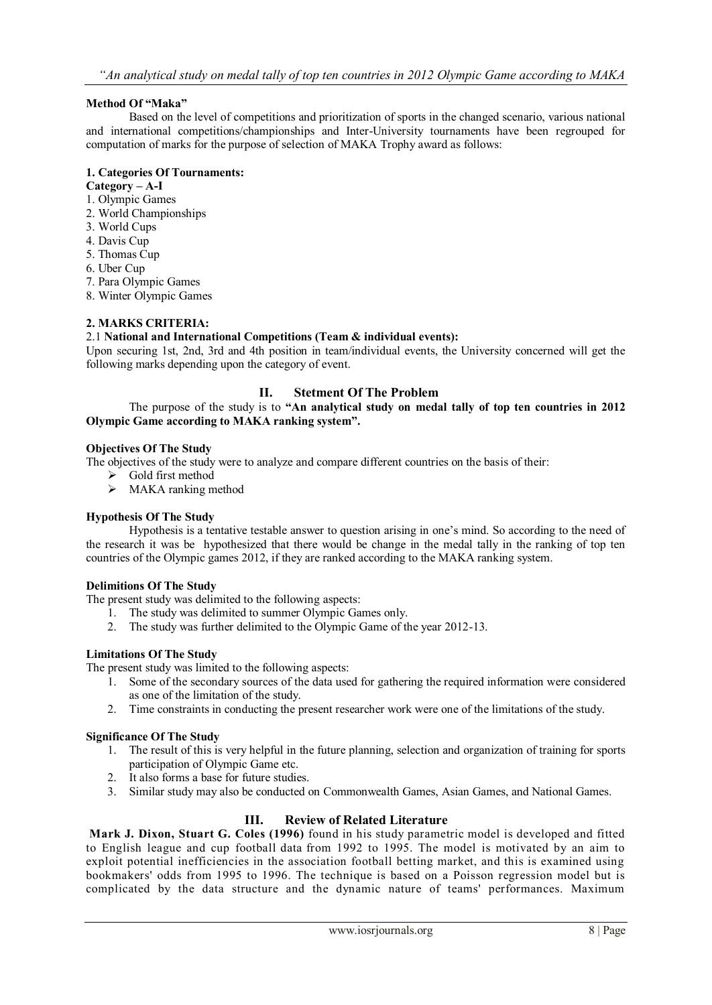# **Method Of "Maka"**

Based on the level of competitions and prioritization of sports in the changed scenario, various national and international competitions/championships and Inter-University tournaments have been regrouped for computation of marks for the purpose of selection of MAKA Trophy award as follows:

# **1. Categories Of Tournaments:**

#### **Category – A-I**

- 1. Olympic Games
- 2. World Championships
- 3. World Cups
- 4. Davis Cup
- 5. Thomas Cup
- 6. Uber Cup
- 7. Para Olympic Games
- 8. Winter Olympic Games

# **2. MARKS CRITERIA:**

## 2.1 **National and International Competitions (Team & individual events):**

Upon securing 1st, 2nd, 3rd and 4th position in team/individual events, the University concerned will get the following marks depending upon the category of event.

# **II. Stetment Of The Problem**

The purpose of the study is to **"An analytical study on medal tally of top ten countries in 2012 Olympic Game according to MAKA ranking system".**

#### **Objectives Of The Study**

The objectives of the study were to analyze and compare different countries on the basis of their:

- $\triangleright$  Gold first method
- $\triangleright$  MAKA ranking method

# **Hypothesis Of The Study**

Hypothesis is a tentative testable answer to question arising in one's mind. So according to the need of the research it was be hypothesized that there would be change in the medal tally in the ranking of top ten countries of the Olympic games 2012, if they are ranked according to the MAKA ranking system.

#### **Delimitions Of The Study**

The present study was delimited to the following aspects:

- 1. The study was delimited to summer Olympic Games only.
- 2. The study was further delimited to the Olympic Game of the year 2012-13.

## **Limitations Of The Study**

The present study was limited to the following aspects:

- 1. Some of the secondary sources of the data used for gathering the required information were considered as one of the limitation of the study.
- 2. Time constraints in conducting the present researcher work were one of the limitations of the study.

## **Significance Of The Study**

- 1. The result of this is very helpful in the future planning, selection and organization of training for sports participation of Olympic Game etc.
- 2. It also forms a base for future studies.
- 3. Similar study may also be conducted on Commonwealth Games, Asian Games, and National Games.

# **III. Review of Related Literature**

**[Mark J. Dixon, Stuart G. Coles \(1996\)](http://www.math.ku.dk/~rolf/teaching/thesis/DixonColes.pdf)** found in his study parametric model is developed and fitted to English league and cup football [data](http://www.scibet.com/articles/) from 1992 to 1995. The model is motivated by an aim to exploit potential inefficiencies in the association football betting market, and this is examined using bookmakers' odds from 1995 to 1996. The technique is based on a Poisson regression model but is complicated by the data structure and the dynamic nature of teams' performances. Maximum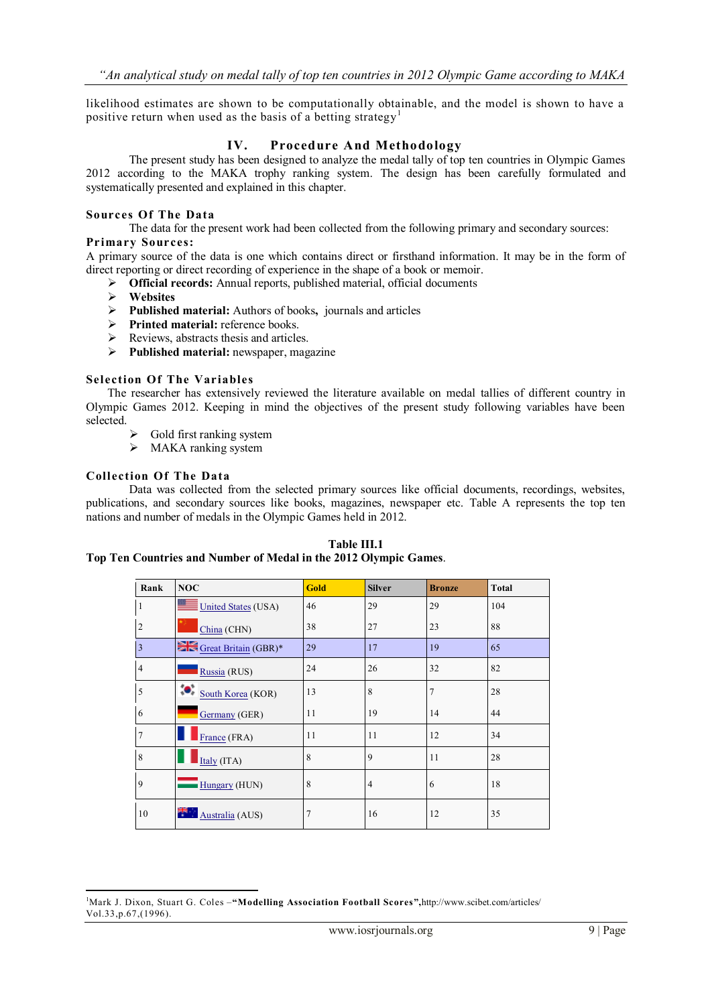likelihood estimates are shown to be computationally obtainable, and the model is shown to have a positive return when used as the basis of a betting strategy<sup>1</sup>

# **IV. Procedure And Methodology**

The present study has been designed to analyze the medal tally of top ten countries in Olympic Games 2012 according to the MAKA trophy ranking system. The design has been carefully formulated and systematically presented and explained in this chapter.

#### **Sources Of The Data**

The data for the present work had been collected from the following primary and secondary sources: **Primary Sources:**

A primary source of the data is one which contains direct or firsthand information. It may be in the form of direct reporting or direct recording of experience in the shape of a book or memoir.

- **Official records:** Annual reports, published material, official documents
- **Websites**
- **Published material:** Authors of books**,** journals and articles
- **Printed material:** reference books.
- $\triangleright$  Reviews, abstracts thesis and articles.
- **Published material:** newspaper, magazine

#### **Selection Of The Variables**

The researcher has extensively reviewed the literature available on medal tallies of different country in Olympic Games 2012. Keeping in mind the objectives of the present study following variables have been selected.

- $\triangleright$  Gold first ranking system
- > MAKA ranking system

#### **Collection Of The Data**

1

Data was collected from the selected primary sources like official documents, recordings, websites, publications, and secondary sources like books, magazines, newspaper etc. Table A represents the top ten nations and number of medals in the Olympic Games held in 2012.

| Rank           | <b>NOC</b>                 | <b>Gold</b> | <b>Silver</b>  | <b>Bronze</b> | <b>Total</b> |
|----------------|----------------------------|-------------|----------------|---------------|--------------|
| 1              | <b>United States (USA)</b> | 46          | 29             | 29            | 104          |
| $\overline{2}$ | China (CHN)                | 38          | 27             | 23            | 88           |
| $\overline{3}$ | Great Britain (GBR)*       | 29          | 17             | 19            | 65           |
| $\overline{4}$ | Russia (RUS)               | 24          | 26             | 32            | 82           |
| 5              | South Korea (KOR)          | 13          | 8              | 7             | 28           |
| 6              | Germany (GER)              | 11          | 19             | 14            | 44           |
| $\overline{7}$ | France (FRA)               | 11          | 11             | 12            | 34           |
| 8              | Italy (ITA)                | 8           | 9              | 11            | 28           |
| 9              | Hungary (HUN)              | 8           | $\overline{4}$ | 6             | 18           |
| 10             | Australia (AUS)            |             | 16             | 12            | 35           |

**Table III.1 Top Ten Countries and Number of Medal in the 2012 Olympic Games**.

<sup>1</sup>Mark J. Dixon, Stuart G. Coles –**["Modelling Association Football Scores"](http://www.math.ku.dk/~rolf/teaching/thesis/DixonColes.pdf),**http://www.scibet.com/articles/ Vol.33,p.67,(1996).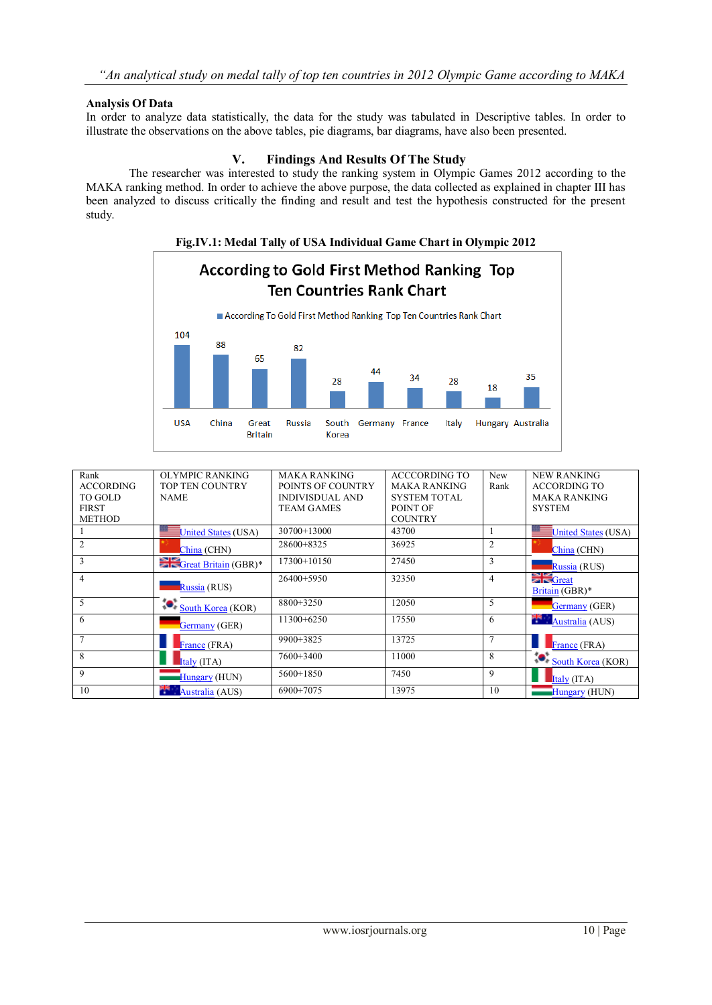# **Analysis Of Data**

In order to analyze data statistically, the data for the study was tabulated in Descriptive tables. In order to illustrate the observations on the above tables, pie diagrams, bar diagrams, have also been presented.

# **V. Findings And Results Of The Study**

The researcher was interested to study the ranking system in Olympic Games 2012 according to the MAKA ranking method. In order to achieve the above purpose, the data collected as explained in chapter III has been analyzed to discuss critically the finding and result and test the hypothesis constructed for the present study.



| Rank             | OLYMPIC RANKING                 | <b>MAKA RANKING</b>    | ACCCORDING TO       | <b>New</b>     | <b>NEW RANKING</b>                            |
|------------------|---------------------------------|------------------------|---------------------|----------------|-----------------------------------------------|
| <b>ACCORDING</b> | <b>TOP TEN COUNTRY</b>          | POINTS OF COUNTRY      | <b>MAKA RANKING</b> | Rank           | <b>ACCORDING TO</b>                           |
| TO GOLD          | <b>NAME</b>                     | <b>INDIVISDUAL AND</b> | <b>SYSTEM TOTAL</b> |                | <b>MAKA RANKING</b>                           |
| <b>FIRST</b>     |                                 | <b>TEAM GAMES</b>      | POINT OF            |                | <b>SYSTEM</b>                                 |
| <b>METHOD</b>    |                                 |                        | <b>COUNTRY</b>      |                |                                               |
|                  | <b>United States (USA)</b>      | $30700+13000$          | 43700               |                | United States (USA)                           |
| 2                | China (CHN)                     | $28600+8325$           | 36925               | 2              | China (CHN)                                   |
| 3                | Great Britain (GBR)*            | 17300+10150            | 27450               | 3              | Russia (RUS)                                  |
| 4                | Russia (RUS)                    | 26400+5950             | 32350               | 4              | $\sum_{k=1}^{\infty}$ Great<br>Britain (GBR)* |
| 5                | <b>O</b> South Korea (KOR)      | 8800+3250              | 12050               | 5              | Germany (GER)                                 |
| 6                | Germany (GER)                   | $11300+6250$           | 17550               | 6              | Australia (AUS)                               |
| 7                | France $(FRA)$                  | $9900+3825$            | 13725               | $\overline{7}$ | France (FRA)                                  |
| 8                | $\overline{\text{Italy (ITA)}}$ | 7600+3400              | 11000               | 8              | South Korea (KOR)                             |
| 9                | Hungary (HUN)                   | $5600+1850$            | 7450                | 9              | Italy (ITA)                                   |
| 10               | Australia (AUS)                 | 6900+7075              | 13975               | 10             | Hungary (HUN)                                 |